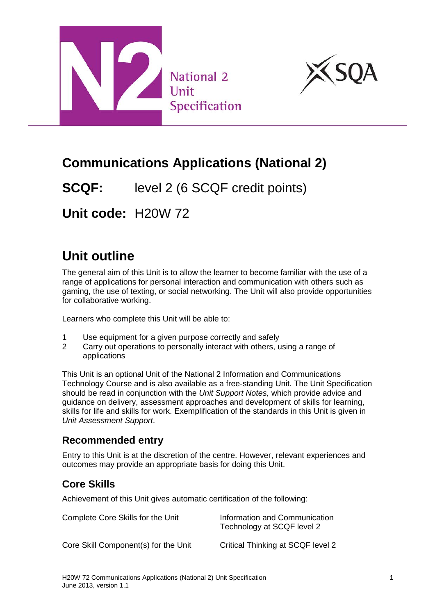



## **Communications Applications (National 2)**

**SCQF:** level 2 (6 SCQF credit points)

**Unit code:** H20W 72

# **Unit outline**

The general aim of this Unit is to allow the learner to become familiar with the use of a range of applications for personal interaction and communication with others such as gaming, the use of texting, or social networking. The Unit will also provide opportunities for collaborative working.

Learners who complete this Unit will be able to:

- 1 Use equipment for a given purpose correctly and safely
- 2 Carry out operations to personally interact with others, using a range of applications

This Unit is an optional Unit of the National 2 Information and Communications Technology Course and is also available as a free-standing Unit. The Unit Specification should be read in conjunction with the *Unit Support Notes,* which provide advice and guidance on delivery, assessment approaches and development of skills for learning, skills for life and skills for work. Exemplification of the standards in this Unit is given in *Unit Assessment Support*.

#### **Recommended entry**

Entry to this Unit is at the discretion of the centre. However, relevant experiences and outcomes may provide an appropriate basis for doing this Unit.

#### **Core Skills**

Achievement of this Unit gives automatic certification of the following:

| Complete Core Skills for the Unit    | Information and Communication<br>Technology at SCQF level 2 |
|--------------------------------------|-------------------------------------------------------------|
| Core Skill Component(s) for the Unit | Critical Thinking at SCQF level 2                           |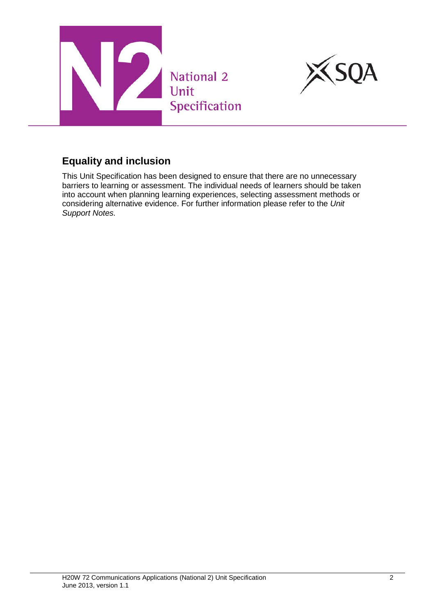



### **Equality and inclusion**

This Unit Specification has been designed to ensure that there are no unnecessary barriers to learning or assessment. The individual needs of learners should be taken into account when planning learning experiences, selecting assessment methods or considering alternative evidence. For further information please refer to the *Unit Support Notes.*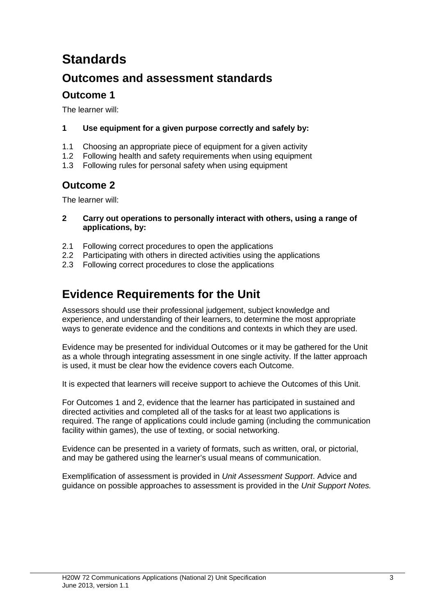## **Standards**

### **Outcomes and assessment standards**

#### **Outcome 1**

The learner will:

- **1 Use equipment for a given purpose correctly and safely by:**
- 1.1 Choosing an appropriate piece of equipment for a given activity
- 1.2 Following health and safety requirements when using equipment
- 1.3 Following rules for personal safety when using equipment

#### **Outcome 2**

The learner will:

- **2 Carry out operations to personally interact with others, using a range of applications, by:**
- 2.1 Following correct procedures to open the applications
- 2.2 Participating with others in directed activities using the applications
- 2.3 Following correct procedures to close the applications

### **Evidence Requirements for the Unit**

Assessors should use their professional judgement, subject knowledge and experience, and understanding of their learners, to determine the most appropriate ways to generate evidence and the conditions and contexts in which they are used.

Evidence may be presented for individual Outcomes or it may be gathered for the Unit as a whole through integrating assessment in one single activity. If the latter approach is used, it must be clear how the evidence covers each Outcome.

It is expected that learners will receive support to achieve the Outcomes of this Unit.

For Outcomes 1 and 2, evidence that the learner has participated in sustained and directed activities and completed all of the tasks for at least two applications is required. The range of applications could include gaming (including the communication facility within games), the use of texting, or social networking.

Evidence can be presented in a variety of formats, such as written, oral, or pictorial, and may be gathered using the learner's usual means of communication.

Exemplification of assessment is provided in *Unit Assessment Support*. Advice and guidance on possible approaches to assessment is provided in the *Unit Support Notes.*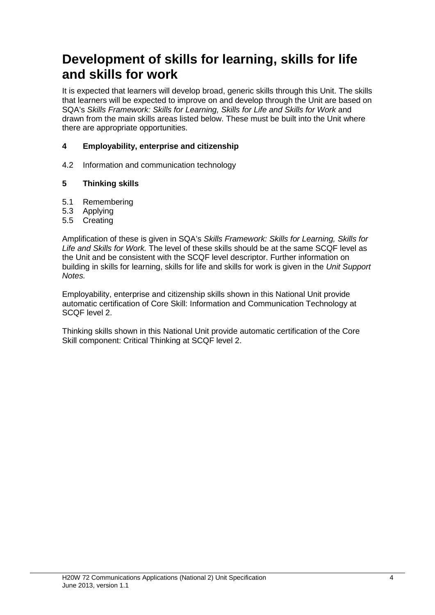### **Development of skills for learning, skills for life and skills for work**

It is expected that learners will develop broad, generic skills through this Unit. The skills that learners will be expected to improve on and develop through the Unit are based on SQA's *Skills Framework: Skills for Learning, Skills for Life and Skills for Work* and drawn from the main skills areas listed below. These must be built into the Unit where there are appropriate opportunities.

#### **4 Employability, enterprise and citizenship**

4.2 Information and communication technology

#### **5 Thinking skills**

- 5.1 Remembering
- 5.3 Applying
- 5.5 Creating

Amplification of these is given in SQA's *Skills Framework: Skills for Learning, Skills for Life and Skills for Work.* The level of these skills should be at the same SCQF level as the Unit and be consistent with the SCQF level descriptor. Further information on building in skills for learning, skills for life and skills for work is given in the *Unit Support Notes.*

Employability, enterprise and citizenship skills shown in this National Unit provide automatic certification of Core Skill: Information and Communication Technology at SCQF level 2.

Thinking skills shown in this National Unit provide automatic certification of the Core Skill component: Critical Thinking at SCQF level 2.